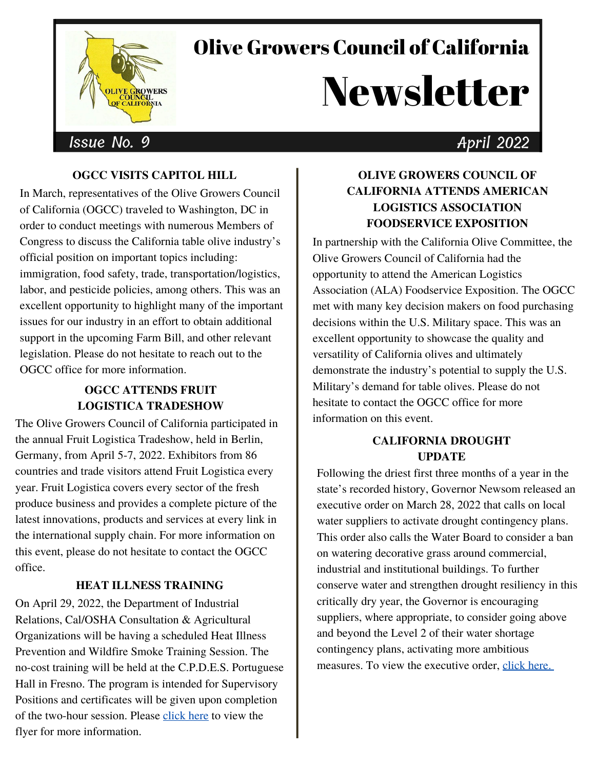

## Olive Growers Council of California

# **Newsletter**

## Issue No. 9 **April 2022**

### **OGCC VISITS CAPITOL HILL**

In March, representatives of the Olive Growers Council of California (OGCC) traveled to Washington, DC in order to conduct meetings with numerous Members of Congress to discuss the California table olive industry's official position on important topics including: immigration, food safety, trade, transportation/logistics, labor, and pesticide policies, among others. This was an excellent opportunity to highlight many of the important issues for our industry in an effort to obtain additional support in the upcoming Farm Bill, and other relevant legislation. Please do not hesitate to reach out to the OGCC office for more information.

#### **OGCC ATTENDS FRUIT LOGISTICA TRADESHOW**

The Olive Growers Council of California participated in the annual Fruit Logistica Tradeshow, held in Berlin, Germany, from April 5-7, 2022. Exhibitors from 86 countries and trade visitors attend Fruit Logistica every year. Fruit Logistica covers every sector of the fresh produce business and provides a complete picture of the latest innovations, products and services at every link in the international supply chain. For more information on this event, please do not hesitate to contact the OGCC office.

#### **HEAT ILLNESS TRAINING**

On April 29, 2022, the Department of Industrial Relations, Cal/OSHA Consultation & Agricultural Organizations will be having a scheduled Heat Illness Prevention and Wildfire Smoke Training Session. The no-cost training will be held at the C.P.D.E.S. Portuguese Hall in Fresno. The program is intended for Supervisory Positions and certificates will be given upon completion of the two-hour session. Please [click](https://acrobat.adobe.com/link/review?uri=urn:aaid:scds:US:c2c684f2-b06a-3459-985d-20bd22aaae7a) here to view the flyer for more information.

#### **OLIVE GROWERS COUNCIL OF CALIFORNIA ATTENDS AMERICAN LOGISTICS ASSOCIATION FOODSERVICE EXPOSITION**

In partnership with the California Olive Committee, the Olive Growers Council of California had the opportunity to attend the American Logistics Association (ALA) Foodservice Exposition. The OGCC met with many key decision makers on food purchasing decisions within the U.S. Military space. This was an excellent opportunity to showcase the quality and versatility of California olives and ultimately demonstrate the industry's potential to supply the U.S. Military's demand for table olives. Please do not hesitate to contact the OGCC office for more information on this event.

#### **CALIFORNIA DROUGHT UPDATE**

Following the driest first three months of a year in the state's recorded history, Governor Newsom released an executive order on March 28, 2022 that calls on local water suppliers to activate drought contingency plans. This order also calls the Water Board to consider a ban on watering decorative grass around commercial, industrial and institutional buildings. To further conserve water and strengthen drought resiliency in this critically dry year, the Governor is encouraging suppliers, where appropriate, to consider going above and beyond the Level 2 of their water shortage contingency plans, activating more ambitious measures. To view the executive order, click [here.](https://www.gov.ca.gov/wp-content/uploads/2022/03/March-2022-Drought-EO.pdf)